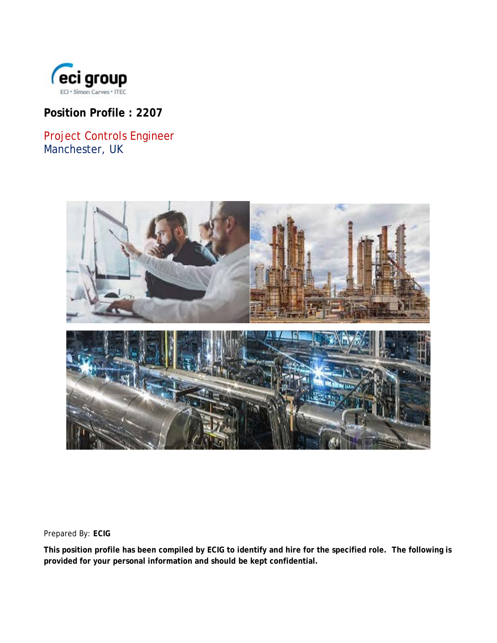

# **Position Profile : 2207**

Project Controls Engineer Manchester, UK



Prepared By: *ECIG*

**This position profile has been compiled by ECIG to identify and hire for the specified role. The following is provided for your personal information and should be kept confidential.**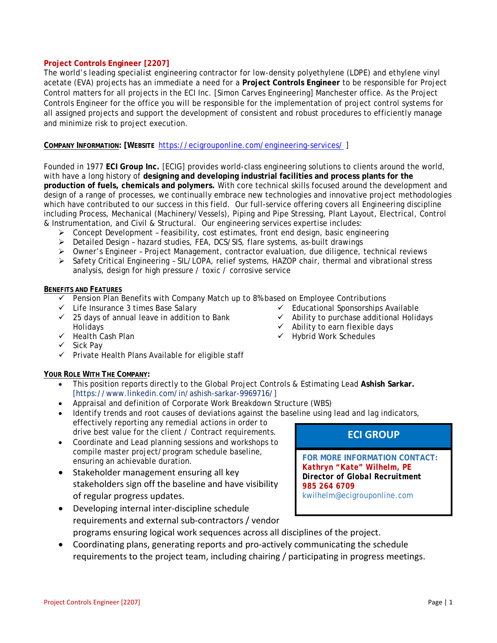### **Project Controls Engineer [2207]**

The world's leading specialist engineering contractor for low-density polyethylene (LDPE) and ethylene vinyl acetate (EVA) projects has an immediate a need for a **Project Controls Engineer** to be responsible for Project Control matters for all projects in the ECI Inc. [Simon Carves Engineering] Manchester office. As the Project Controls Engineer for the office you will be responsible for the implementation of project control systems for all assigned projects and support the development of consistent and robust procedures to efficiently manage and minimize risk to project execution.

**COMPANY INFORMATION: [WEBSITE** <https://ecigrouponline.com/engineering-services/> ]

Founded in 1977 **ECI Group Inc.** [ECIG] provides world-class engineering solutions to clients around the world, with have a long history of **designing and developing industrial facilities and process plants for the production of fuels, chemicals and polymers.** With core technical skills focused around the development and design of a range of processes, we continually embrace new technologies and innovative project methodologies which have contributed to our success in this field. Our full-service offering covers all Engineering discipline including Process, Mechanical (Machinery/Vessels), Piping and Pipe Stressing, Plant Layout, Electrical, Control & Instrumentation, and Civil & Structural. Our engineering services expertise includes:

- Concept Development feasibility, cost estimates, front end design, basic engineering
- $\triangleright$  Detailed Design hazard studies, FEA, DCS/SIS, flare systems, as-built drawings
- Owner's Engineer Project Management, contractor evaluation, due diligence, technical reviews
- $\triangleright$  Safety Critical Engineering SIL/LOPA, relief systems, HAZOP chair, thermal and vibrational stress analysis, design for high pressure / toxic / corrosive service

#### **BENEFITS AND FEATURES**

- $\checkmark$  Pension Plan Benefits with Company Match up to 8% based on Employee Contributions  $\checkmark$  Educational Sponsorships Available
- $\checkmark$  Life Insurance 3 times Base Salary
- $\checkmark$  25 days of annual leave in addition to Bank Holidays
- $\checkmark$  Health Cash Plan
- $\checkmark$  Sick Pav
- $\checkmark$  Private Health Plans Available for eligible staff

### **YOUR ROLE WITH THE COMPANY:**

- This position reports directly to the Global Project Controls & Estimating Lead **Ashish Sarkar.** [https://www.linkedin.com/in/ashish-sarkar-9969716/]
- Appraisal and definition of Corporate Work Breakdown Structure (WBS)
- Identify trends and root causes of deviations against the baseline using lead and lag indicators, effectively reporting any remedial actions in order to drive best value for the client / Contract requirements.
- Coordinate and Lead planning sessions and workshops to compile master project/program schedule baseline, ensuring an achievable duration.
- Stakeholder management ensuring all key stakeholders sign off the baseline and have visibility of regular progress updates.
- Developing internal inter-discipline schedule requirements and external sub-contractors / vendor programs ensuring logical work sequences across all disciplines of the project.
- Coordinating plans, generating reports and pro-actively communicating the schedule requirements to the project team, including chairing / participating in progress meetings.

## **ECI GROUP**

 $\checkmark$  Ability to purchase additional Holidays

 $\checkmark$  Ability to earn flexible days  $\checkmark$  Hybrid Work Schedules

> **FOR MORE INFORMATION CONTACT:** *Kathryn "Kate" Wilhelm, PE Director of Global Recruitment 985 264 6709* kwilhelm@ecigrouponline.com